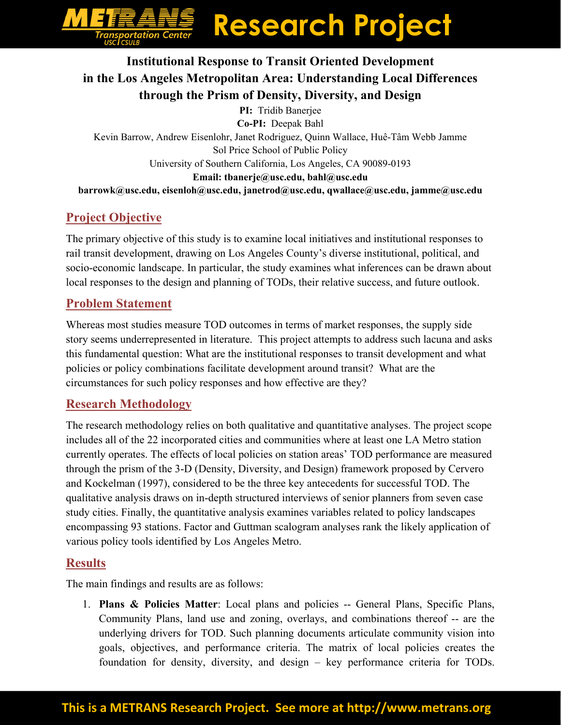# **Research Project**

## **Institutional Response to Transit Oriented Development in the Los Angeles Metropolitan Area: Understanding Local Differences through the Prism of Density, Diversity, and Design**

**PI:** Tridib Banerjee **Co-PI:** Deepak Bahl Kevin Barrow, Andrew Eisenlohr, Janet Rodriguez, Quinn Wallace, Huê-Tâm Webb Jamme Sol Price School of Public Policy University of Southern California, Los Angeles, CA 90089-0193 **Email: tbanerje@usc.edu, bahl@usc.edu barrowk@usc.edu, eisenloh@usc.edu, janetrod@usc.edu, qwallace@usc.edu, jamme@usc.edu** 

## **Project Objective**

The primary objective of this study is to examine local initiatives and institutional responses to rail transit development, drawing on Los Angeles County's diverse institutional, political, and socio-economic landscape. In particular, the study examines what inferences can be drawn about local responses to the design and planning of TODs, their relative success, and future outlook.

#### **Problem Statement**

Whereas most studies measure TOD outcomes in terms of market responses, the supply side story seems underrepresented in literature. This project attempts to address such lacuna and asks this fundamental question: What are the institutional responses to transit development and what policies or policy combinations facilitate development around transit? What are the circumstances for such policy responses and how effective are they?

#### **Research Methodology**

The research methodology relies on both qualitative and quantitative analyses. The project scope includes all of the 22 incorporated cities and communities where at least one LA Metro station currently operates. The effects of local policies on station areas' TOD performance are measured through the prism of the 3-D (Density, Diversity, and Design) framework proposed by Cervero and Kockelman (1997), considered to be the three key antecedents for successful TOD. The qualitative analysis draws on in-depth structured interviews of senior planners from seven case study cities. Finally, the quantitative analysis examines variables related to policy landscapes encompassing 93 stations. Factor and Guttman scalogram analyses rank the likely application of various policy tools identified by Los Angeles Metro.

#### **Results**

The main findings and results are as follows:

1. **Plans & Policies Matter**: Local plans and policies -- General Plans, Specific Plans, Community Plans, land use and zoning, overlays, and combinations thereof -- are the underlying drivers for TOD. Such planning documents articulate community vision into goals, objectives, and performance criteria. The matrix of local policies creates the foundation for density, diversity, and design – key performance criteria for TODs.